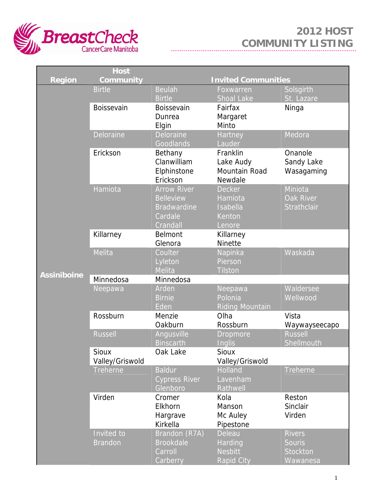

|                    | <b>Host</b>     |                            |                        |                  |
|--------------------|-----------------|----------------------------|------------------------|------------------|
| <b>Region</b>      | Community       | <b>Invited Communities</b> |                        |                  |
|                    | <b>Birtle</b>   | <b>Beulah</b>              | Foxwarren              | Solsgirth        |
|                    |                 | <b>Birtle</b>              | <b>Shoal Lake</b>      | St. Lazare       |
|                    | Boissevain      | Boissevain                 | Fairfax                | Ninga            |
|                    |                 | Dunrea                     | Margaret               |                  |
|                    |                 | Elgin                      | Minto                  |                  |
|                    | Deloraine       | Deloraine                  | Hartney                | Medora           |
|                    |                 | Goodlands                  | Lauder                 |                  |
|                    | Erickson        | Bethany                    | Franklin               | Onanole          |
|                    |                 | Clanwilliam                | Lake Audy              | Sandy Lake       |
|                    |                 | Elphinstone                | Mountain Road          | Wasagaming       |
|                    |                 | Erickson                   | Newdale                |                  |
|                    | Hamiota         | <b>Arrow River</b>         | <b>Decker</b>          | Miniota          |
|                    |                 | <b>Belleview</b>           | Hamiota                | <b>Oak River</b> |
|                    |                 | <b>Bradwardine</b>         | Isabella               | Strathclair      |
|                    |                 | Cardale                    | Kenton                 |                  |
|                    |                 | Crandall                   | Lenore                 |                  |
|                    | Killarney       | Belmont                    | Killarney              |                  |
|                    |                 | Glenora                    | <b>Ninette</b>         |                  |
|                    | Melita          | Coulter                    | Napinka                | Waskada          |
|                    |                 | Lyleton                    | Pierson                |                  |
| <b>Assiniboine</b> |                 | <b>Melita</b>              | <b>Tilston</b>         |                  |
|                    | Minnedosa       | Minnedosa                  |                        |                  |
|                    | Neepawa         | Arden                      | Neepawa                | Waldersee        |
|                    |                 | <b>Birnie</b>              | Polonia                | Wellwood         |
|                    |                 | Eden                       | <b>Riding Mountain</b> |                  |
|                    | Rossburn        | Menzie                     | Olha                   | Vista            |
|                    |                 | Oakburn                    | Rossburn               | Waywayseecapo    |
|                    | <b>Russell</b>  | Angusville                 | <b>Dropmore</b>        | <b>Russell</b>   |
|                    |                 | <b>Binscarth</b>           | Inglis                 | Shellmouth       |
|                    | <b>Sioux</b>    | Oak Lake                   | <b>Sioux</b>           |                  |
|                    | Valley/Griswold |                            | Valley/Griswold        |                  |
|                    | <b>Treherne</b> | <b>Baldur</b>              | <b>Holland</b>         | Treherne         |
|                    |                 | <b>Cypress River</b>       | Lavenham               |                  |
|                    | Virden          | Glenboro<br>Cromer         | Rathwell<br>Kola       | Reston           |
|                    |                 | Elkhorn                    | Manson                 | Sinclair         |
|                    |                 | Hargrave                   | Mc Auley               | Virden           |
|                    |                 | Kirkella                   | Pipestone              |                  |
|                    | Invited to      | Brandon (R7A)              | <b>Deleau</b>          | <b>Rivers</b>    |
|                    | <b>Brandon</b>  | <b>Brookdale</b>           | Harding                | <b>Souris</b>    |
|                    |                 | Carroll                    | <b>Nesbitt</b>         | <b>Stockton</b>  |
|                    |                 |                            |                        |                  |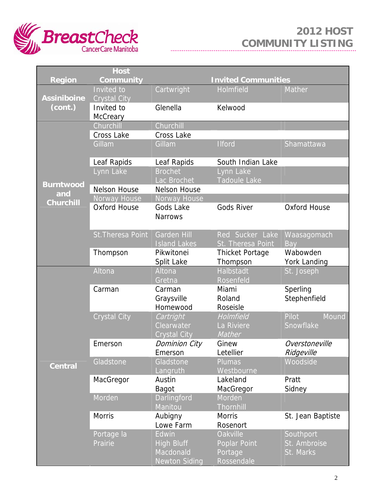

|                    | <b>Host</b>           |                                                                 |                                                          |                                        |
|--------------------|-----------------------|-----------------------------------------------------------------|----------------------------------------------------------|----------------------------------------|
| <b>Region</b>      | Community             |                                                                 | <b>Invited Communities</b>                               |                                        |
|                    | Invited to            | Cartwright                                                      | Holmfield                                                | Mather                                 |
| <b>Assiniboine</b> | <b>Crystal City</b>   |                                                                 |                                                          |                                        |
| (cont.)            | Invited to            | Glenella                                                        | Kelwood                                                  |                                        |
|                    | McCreary              |                                                                 |                                                          |                                        |
|                    | Churchill             | Churchill                                                       |                                                          |                                        |
|                    | Cross Lake            | <b>Cross Lake</b>                                               |                                                          |                                        |
|                    | Gillam                | Gillam                                                          | <b>Ilford</b>                                            | Shamattawa                             |
|                    | Leaf Rapids           | Leaf Rapids                                                     | South Indian Lake                                        |                                        |
|                    | Lynn Lake             | <b>Brochet</b><br>Lac Brochet                                   | Lynn Lake<br><b>Tadoule Lake</b>                         |                                        |
| <b>Burntwood</b>   | <b>Nelson House</b>   | <b>Nelson House</b>                                             |                                                          |                                        |
| and                | Norway House          | Norway House                                                    |                                                          |                                        |
| <b>Churchill</b>   | <b>Oxford House</b>   | Gods Lake<br><b>Narrows</b>                                     | <b>Gods River</b>                                        | Oxford House                           |
|                    | St. Theresa Point     | <b>Garden Hill</b><br><b>Island Lakes</b>                       | Red Sucker Lake<br>St. Theresa Point                     | Waasagomach<br>Bay                     |
|                    | Thompson              | Pikwitonei<br>Split Lake                                        | <b>Thicket Portage</b><br>Thompson                       | Wabowden<br>York Landing               |
|                    | Altona                | Altona<br>Gretna                                                | <b>Halbstadt</b><br>Rosenfeld                            | St. Joseph                             |
|                    | Carman                | Carman<br>Graysville<br>Homewood                                | Miami<br>Roland<br>Roseisle                              | Sperling<br>Stephenfield               |
|                    | <b>Crystal City</b>   | Cartright                                                       | Holmfield                                                | Pilot<br>Mound                         |
| <b>Central</b>     |                       | Clearwater<br><b>Crystal City</b>                               | La Riviere<br>Mather                                     | Snowflake                              |
|                    | Emerson               | Dominion City<br>Emerson                                        | Ginew<br>Letellier                                       | Overstoneville<br>Ridgeville           |
|                    | Gladstone             | Gladstone<br>Langruth                                           | <b>Plumas</b><br>Westbourne                              | Woodside                               |
|                    | MacGregor             | Austin<br>Bagot                                                 | Lakeland<br>MacGregor                                    | Pratt<br>Sidney                        |
|                    | Morden                | <b>Darlingford</b><br><b>Manitou</b>                            | Morden<br><b>Thornhill</b>                               |                                        |
|                    | <b>Morris</b>         | Aubigny<br>Lowe Farm                                            | <b>Morris</b><br>Rosenort                                | St. Jean Baptiste                      |
|                    | Portage la<br>Prairie | Edwin<br><b>High Bluff</b><br>Macdonald<br><b>Newton Siding</b> | <b>Oakville</b><br>Poplar Point<br>Portage<br>Rossendale | Southport<br>St. Ambroise<br>St. Marks |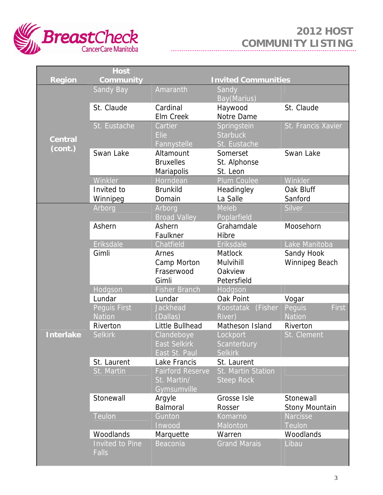

|                  | <b>Host</b>            |                              |                             |                             |
|------------------|------------------------|------------------------------|-----------------------------|-----------------------------|
| <b>Region</b>    | <b>Community</b>       |                              | <b>Invited Communities</b>  |                             |
|                  | <b>Sandy Bay</b>       | Amaranth                     | Sandy                       |                             |
|                  |                        |                              | Bay(Marius)                 |                             |
|                  | St. Claude             | Cardinal<br><b>Elm Creek</b> | Haywood<br>Notre Dame       | St. Claude                  |
|                  | St. Eustache           | Cartier                      | Springstein                 | St. Francis Xavier          |
|                  |                        | <b>Elie</b>                  | <b>Starbuck</b>             |                             |
| <b>Central</b>   |                        | Fannystelle                  | St. Eustache                |                             |
| (cont.)          | Swan Lake              | Altamount                    | Somerset                    | Swan Lake                   |
|                  |                        | <b>Bruxelles</b>             | St. Alphonse                |                             |
|                  |                        | Mariapolis                   | St. Leon                    |                             |
|                  | Winkler                | Horndean                     | Plum Coulee                 | Winkler                     |
|                  | Invited to             | <b>Brunkild</b>              | Headingley                  | Oak Bluff                   |
|                  | Winnipeg               | Domain                       | La Salle                    | Sanford                     |
|                  | Arborg                 | Arborg                       | Meleb                       | Silver                      |
|                  |                        | <b>Broad Valley</b>          | Poplarfield                 |                             |
|                  | Ashern                 | Ashern                       | Grahamdale                  | Moosehorn                   |
|                  |                        | Faulkner                     | Hibre                       |                             |
|                  | Eriksdale<br>Gimli     | Chatfield<br>Arnes           | Eriksdale<br><b>Matlock</b> | Lake Manitoba<br>Sandy Hook |
|                  |                        | Camp Morton                  | Mulvihill                   | Winnipeg Beach              |
|                  |                        | Fraserwood                   | Oakview                     |                             |
|                  |                        | Gimli                        | Petersfield                 |                             |
|                  | Hodgson                | <b>Fisher Branch</b>         | Hodgson                     |                             |
|                  | Lundar                 | Lundar                       | Oak Point                   | Vogar                       |
|                  | Peguis First           | Jackhead                     | Koostatak (Fisher           | <b>First</b><br>Peguis      |
|                  | <b>Nation</b>          | (Dallas)                     | River)                      | <b>Nation</b>               |
|                  | Riverton               | Little Bullhead              | Matheson Island             | Riverton                    |
| <b>Interlake</b> | <b>Selkirk</b>         | Clandeboye                   | Lockport                    | St. Clement                 |
|                  |                        | <b>East Selkirk</b>          | <b>Scanterbury</b>          |                             |
|                  |                        | East St. Paul                | <b>Selkirk</b>              |                             |
|                  | St. Laurent            | Lake Francis                 | St. Laurent                 |                             |
|                  | St. Martin             | <b>Fairford Reserve</b>      | St. Martin Station          |                             |
|                  |                        | St. Martin/<br>Gymsumville   | <b>Steep Rock</b>           |                             |
|                  | Stonewall              | Argyle                       | Grosse Isle                 | Stonewall                   |
|                  |                        | Balmoral                     | Rosser                      | Stony Mountain              |
|                  | <b>Teulon</b>          | Gunton                       | Komarno                     | <b>Narcisse</b>             |
|                  |                        | Inwood                       | Malonton                    | <b>Teulon</b>               |
|                  | Woodlands              | Marquette                    | Warren                      | Woodlands                   |
|                  | <b>Invited to Pine</b> | Beaconia                     | <b>Grand Marais</b>         | Libau                       |
|                  | <b>Falls</b>           |                              |                             |                             |
|                  |                        |                              |                             |                             |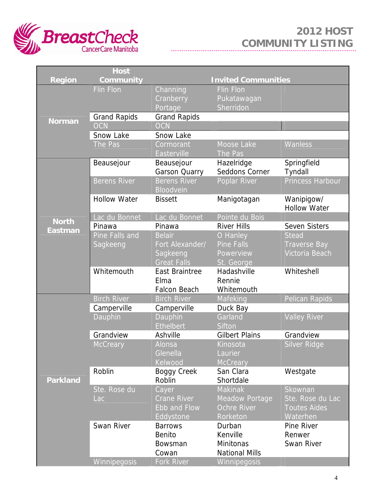

|                 | <b>Host</b>         |                                    |                              |                         |
|-----------------|---------------------|------------------------------------|------------------------------|-------------------------|
| <b>Region</b>   | Community           |                                    | <b>Invited Communities</b>   |                         |
| <b>Norman</b>   | <b>Flin Flon</b>    | Channing                           | <b>Flin Flon</b>             |                         |
|                 |                     | Cranberry                          | Pukatawagan                  |                         |
|                 |                     | Portage                            | Sherridon                    |                         |
|                 | <b>Grand Rapids</b> | <b>Grand Rapids</b>                |                              |                         |
|                 | <b>OCN</b>          | <b>OCN</b>                         |                              |                         |
|                 | Snow Lake           | Snow Lake                          |                              |                         |
|                 | The Pas             | Cormorant                          | Moose Lake                   | <b>Wanless</b>          |
|                 |                     | Easterville                        | The Pas                      |                         |
|                 | Beausejour          | Beausejour<br><b>Garson Quarry</b> | Hazelridge<br>Seddons Corner | Springfield<br>Tyndall  |
|                 | <b>Berens River</b> | <b>Berens River</b>                | Poplar River                 | <b>Princess Harbour</b> |
|                 |                     | <b>Bloodvein</b>                   |                              |                         |
|                 | <b>Hollow Water</b> | <b>Bissett</b>                     | Manigotagan                  | Wanipigow/              |
|                 |                     |                                    |                              | <b>Hollow Water</b>     |
|                 | Lac du Bonnet       | Lac du Bonnet                      | Pointe du Bois               |                         |
| <b>North</b>    | Pinawa              | Pinawa                             | <b>River Hills</b>           | <b>Seven Sisters</b>    |
| <b>Eastman</b>  | Pine Falls and      | <b>Belair</b>                      | O Hanley                     | <b>Stead</b>            |
|                 | Sagkeeng            | Fort Alexander/                    | <b>Pine Falls</b>            | <b>Traverse Bay</b>     |
|                 |                     | Sagkeeng                           | Powerview                    | Victoria Beach          |
|                 |                     | <b>Great Falls</b>                 | St. George                   |                         |
|                 | Whitemouth          | East Braintree                     | Hadashville                  | Whiteshell              |
|                 |                     | Elma                               | Rennie                       |                         |
|                 |                     | <b>Falcon Beach</b>                | Whitemouth                   |                         |
|                 | <b>Birch River</b>  | <b>Birch River</b>                 | Mafeking                     | Pelican Rapids          |
|                 | Camperville         | Camperville                        | Duck Bay<br>Garland          |                         |
|                 | Dauphin             | Dauphin<br><b>Ethelbert</b>        | Sifton                       | <b>Valley River</b>     |
|                 | Grandview           | Ashville                           | <b>Gilbert Plains</b>        | Grandview               |
|                 | <b>McCreary</b>     | Alonsa                             | Kinosota                     | Silver Ridge            |
|                 |                     | Glenella                           | Laurier                      |                         |
|                 |                     | Kelwood                            | <b>McCreary</b>              |                         |
|                 | Roblin              | <b>Boggy Creek</b>                 | San Clara                    | Westgate                |
| <b>Parkland</b> |                     | Roblin                             | Shortdale                    |                         |
|                 | Ste. Rose du        | Cayer                              | <b>Makinak</b>               | Skownan                 |
|                 | Lac                 | <b>Crane River</b>                 | Meadow Portage               | Ste. Rose du Lac        |
|                 |                     | Ebb and Flow                       | <b>Ochre River</b>           | <b>Toutes Aides</b>     |
|                 |                     | Eddystone                          | <b>Rorketon</b>              | Waterhen                |
|                 | Swan River          | <b>Barrows</b>                     | Durban                       | Pine River              |
|                 |                     | <b>Benito</b>                      | Kenville                     | Renwer                  |
|                 |                     | Bowsman                            | Minitonas                    | Swan River              |
|                 |                     | Cowan                              | <b>National Mills</b>        |                         |
|                 | <b>Winnipegosis</b> | Fork River                         | <b>Winnipegosis</b>          |                         |